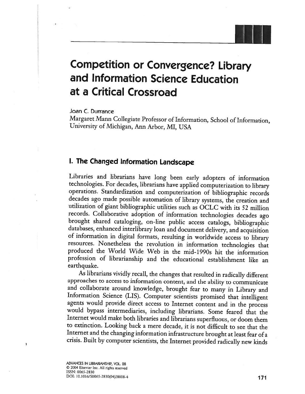# Competition or Convergence? Library and Information Science Education at <sup>a</sup> Critical Crossroad

Joan C. Durrance

Margaret Mann Collegiate Professor of Information, School of Information, University of Michigan, Ann Arbor, MI, USA

# I. The Changed Information Landscape

Libraries and librarians have long been early adopters of information<br>technologies. For decades, librarians have applied computerization to library<br>operations. Standardization and computerization of bibliographic records<br>d brought shared cataloging, on-line public access catalogs, bibliographic databases, enhanced interlibrary loan and document delivery, and acquisition of information in digital formats, resulting in worldwide access to libr produced the World Wide Web in the mid-1990s hit the information profession of librarianship and the educational establishment like an earthquake.

As librarians vividly recall, the changes that resulted in radically different approaches to access to information content, and the ability to communicate and collaborate around knowledge, brought fear to many in Library a agents would provide direct access to Internet content and in the process would bypass intermediaries, including librarians. Some feared that the Internet would make both libraries and librarians superfluous, or doom them to extinction. Looking back <sup>a</sup> mere decade, it is not difficult to see that the crisis. Built by computer scientists, the Internet provided radically new kinds

ADVANCES IN UBRARIANSHIP, VOL. 28 © <sup>2004</sup> Elsevier Inc. All rights reserved ISSN: 0065-2830 DOI: 10.1016/S0065-2830(04)28008-4 171

þ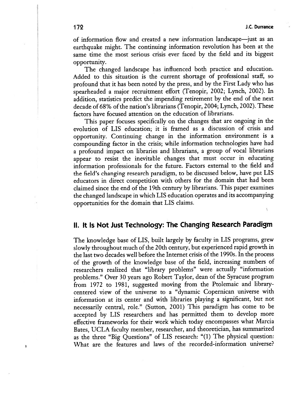of information flow and created <sup>a</sup> new information landscape—just as an earthquake might. The continuing information revolution has been at the same time the most serious crisis ever faced by the field and its biggest opportunity.

The changed landscape has influenced both practice and education. Added to this situation is the current shortage of professional staff, so profound that it has been noted by the press, and by the First Lady who has spearheaded <sup>a</sup> major recruitment effort (Tenopir, 2002; Lynch, 2002). In addition, statistics predict the impending retirement by the end of the next decade of 68% of the nation's librarians (Tenopir, 2004; Lynch, 2002). These factors have focused attention on the education of librarians.

This paper focuses specifically on the changes that are ongoing in the evolution of US education; it is framed as <sup>a</sup> discussion of crisis and opportunity. Continuing change in the information environment is <sup>a</sup> compounding factor in the crisis; while information technologies have had <sup>a</sup> profound impact on libraries and librarians, <sup>a</sup> group of vocal librarians appear to resist the inevitable changes that must occur in educating information professionals for the future. Factors external to the field and the field's changing research paradigm, to be discussed below, have pu<sup>t</sup> LIS educators in direct competition with others for the domain that had been claimed since the end of the 19th century by librarians. This paper examines the changed landscape in which US education operates and its accompanying opportunities for the domain that US claims.

# II. It Is Not Just Technology: The Changing Research Paradigm

The knowledge base of LIS, built largely by faculty in LIS programs, grew slowly throughout much of the 20th century, but experienced rapid growth in the last two decades well before the Internet crisis of the 1990s. In the process of the growth of the knowledge base of the field, increasing numbers of researchers realized that "library problems" were actually "information problems." Over <sup>30</sup> years ago Robert Taylor, dean of the Syracuse program from <sup>1972</sup> to 1981, suggested moving from the Ptolemaic and librarycentered view of the universe to <sup>a</sup> "dynamic Copemican universe with information at its center and with libraries playing <sup>a</sup> significant, but not necessarily central, role." (Sutton, 2001) This paradigm has come to be accepted by US researchers and has permitted them to develop more effective frameworks for their work which today encompasses what Marcia Bates, UCLA faculty member, researcher, and theoretician, has summarized as the three "Big Questions" of LIS research: "(1) The <sup>p</sup>hysical question: What are the features and laws of the recorded-information universe?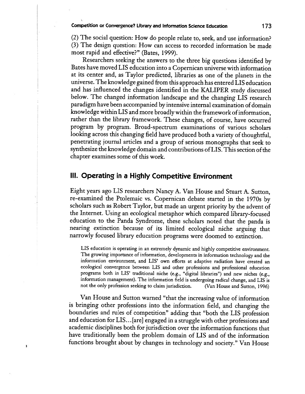(2) The social question: How do people relate to, seek, and use information? (3) The design question: How can access to recorded information be made most rapid and effective?" (Bates, 1999).

Researchers seeking the answers to the three big questions identified by Bates have moved LIS education into <sup>a</sup> Copernican universe with information at its center and, as Taylor predicted, libraries as one of the <sup>p</sup>lanets in the universe. The knowledge gained from this approach has entered LIS education and has influenced the changes identified in the KALIPER study discussed below. The changed information landscape and the changing LIS research paradigm have been accompanied by intensive internal examination of domain knowledge within LIS and more broadly within the framework of information, rather than the library framework. These changes, of course, have occurred program by program. Broad-spectrum examinations of various scholars looking across this changing field have produced both a variety of thoughtful, penetrating journal articles and <sup>a</sup> group of serious monographs that seek to synthesize the knowledge domain and contributions of LIS. This section of the chapter examines some of this work.

#### Ill. Operating in <sup>a</sup> Highly Competitive Environment

Eight years ago US researchers Nancy A. Van House and Stuart A. Sutton, re-examined the Ptolemaic vs. Copernican debate started in the 1970s by scholars such as Robert Taylor, but made an urgent priority by the advent of the Internet. Using an ecological metaphor which compared library-focused education to the Panda Syndrome, these scholars noted that the panda is nearing extinction because of its limited ecological niche arguing that narrowly focused library education programs were doomed to extinction.

LIS education is operating in an extremely dynamic and highly competitive environment. The growing importance of information, developments in information technology and the information environment, and US' own efforts at adaptive radiation have created an ecological convergence between US and other professions and professional education programs both in US' traditional niche (e.g., "digital libraries") and new niches (e.g., information management). The information field is undergoing radical change, and US is not the only profession seeking to claim jurisdiction. (Van House and Sutton, 1996)

Van House and Sutton warned "that the increasing value of information is bringing other professions into the information field, and changing the boundaries and rules of competition" adding that "both the US profession and education for US.. .[are] engaged in <sup>a</sup> struggle with other professions and academic disciplines both for jurisdiction over the information functions that have traditionally been the problem domain of US and of the information functions brought about by changes in technology and society." Van House

١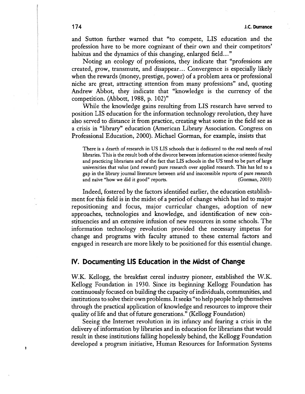and Sutton further warned that "to compete, US education and the profession have to be more cognizant of their own and their competitors' habitus and the dynamics of this changing, enlarged field..."

Noting an ecology of professions, they indicate that "professions are created, grow, transmute, and disappear... Convergence is especially likely when the rewards (money, prestige, power) of <sup>a</sup> problem area or professional niche are great, attracting attention from many professions" and, quoting Andrew Abbot, they indicate that "knowledge is the currency of the competition. (Abbott, 1988, p. 102)"

While the knowledge gains resulting from LIS research have served to position US education for the information technology revolution, they have also served to distance it from practice, creating what some in the field see as <sup>a</sup> crisis in "library" education (American Library Association. Congress on Professional Education, 2000). Michael Gorman, for example, insists that

There is <sup>a</sup> dearth of research in US US schools that is dedicated to the real needs of real libraries. This is the result both of the divorce between information science oriented faculty and practicing librarians and of the fact that US schools in the US tend to be par<sup>t</sup> of large universities that value (and reward) pure research over applied research. This has led to <sup>a</sup> gap in the library journal literature between arid and inaccessible reports of pure research and naïve "how we did it good" reports. (Gorman, 2003)

Indeed, fostered by the factors identified earlier, the education establish ment for this field is in the midst of <sup>a</sup> period of change which has led to major repositioning and focus, major curricular changes, adoption of new approaches, technologies and knowledge, and identification of new con stituencies and an extensive infusion of new resources in some schools. The information technology revolution provided the necessary impetus for change and programs with faculty attuned to these external factors and engaged in research are more likely to be positioned for this essential change.

#### IV. Documenting LIS Education in the Midst of Change

W.K. Kellogg, the breakfast cereal industry pioneer, established the W.K. Kellogg Foundation in 1930. Since its beginning Kellogg Foundation has continuously focused on building the capacity of individuals, communities, and institutions to solve their own problems. Itseeks "to help people help themselves through the practical application of knowledge and resources to improve their quality of life and that of future generations." (Kellogg Foundation)

Seeing the Internet revolution in its infancy and fearing <sup>a</sup> crisis in the delivery of information by libraries and in education for librarians that would result in these institutions falling hopelessly behind, the Kellogg Foundation developed <sup>a</sup> program initiative, Human Resources for Information Systems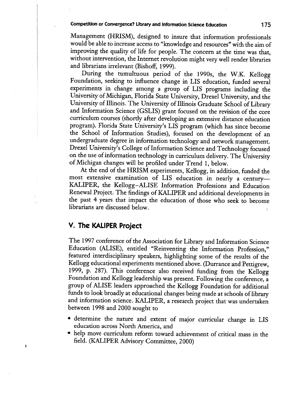Management (HRISM), designed to insure that information professionals would be able to increase access to "knowledge and resources" with the aim of improving the quality of life for people. The concern at the time was that, without intervention, the Internet revolution might very well render libraries and librarians irrelevant (Bishoff, 1999).

During the tumultuous period of the 1990s, the W.K. Kellogg Foundation, seeking to influence change in LIS education, funded several experiments in change among <sup>a</sup> group of US programs including the University of Michigan, Florida State University, Drexel University, and the University of Illinois. The University of Illinois Graduate School of Library and Information Science (GSLIS) grant focused on the revision of the core curriculum courses (shortly after developing an extensive distance education program). Florida State University's US program (which has since become the School of Information Studies), focused on the development of an undergraduate degree in information technology and network management. Drexel University's College of Information Science and Technology focused on the use ofinformation technology in curriculum delivery. The University of Michigan changes will be profiled under Trend 1, below.

At the end of the HRISM experiments, Kellogg, in addition, funded the most extensive examination of LIS education in nearly <sup>a</sup> century— KALIPER, the Kellogg—ALISE Information Professions and Education Renewal Project. The findings of KALIPER and additional developments in the past 4 years that impact the education of those who seek to become librarians are discussed below.

#### V. The KALIPER Project

1

The <sup>1997</sup> conference of the Association for Library and Information Science Education (ALISE), entitled "Reinventing the Information Profession," featured interdisciplinary speakers, highlighting some of the results of the Kellogg educational experiments mentioned above. (Durrance and Pettigrew, 1999, p. 287). This conference also received funding from the Kellogg Foundation and Kellogg leadership was present. Following the conference, a group of ALISE leaders approached the Kellogg Foundation for additional funds to look broadly at educational changes being made at schools of library and information science. KALIPER, a research project that was undertaken between 1998 and 2000 sought to

- determine the nature and extent of major curricular change in US education across North America, and
- help move curriculum reform toward achievement of critical mass in the field. (KALIPER Advisory Committee, 2000)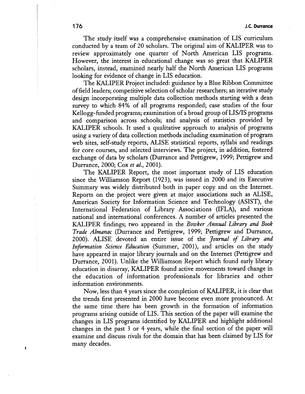The study itself was <sup>a</sup> comprehensive examination of LIS curriculum conducted by <sup>a</sup> team of 20 scholars. The original aim of KALIPER was to review approximately one quarter of North American LIS programs. However, the interest in educational change was so grea<sup>t</sup> that KALIPER scholars, instead, examined nearly half the North American LIS programs looking for evidence of change in LIS education.

The KALIPER Project included: guidance by <sup>a</sup> Blue Ribbon Committee offield leaders; competitive selection ofscholar researchers; an iterative study design incorporating multiple data collection methods starting with <sup>a</sup> dean survey to which 84% of all programs responded; case studies of the four Kellogg-funded programs; examination of <sup>a</sup> broad group of LIS/IS programs and comparison across schools; and analysis of statistics provided by KALIPER schools. It used <sup>a</sup> qualitative approach to analysis of programs using <sup>a</sup> variety of data collection methods including examination of program web sites, self-study reports, ALISE statistical reports, syllabi and readings for core courses, and selected interviews. The project, in addition, fostered exchange of data by scholars (Durrance and Pettigrew, 1999; Pettigrew and Durrance, 2000; Cox et al., 2001).

The KALIPER Report, the most important study of LIS education since the Williamson Report (1923), was issued in 2000 and its Executive Summary was widely distributed both in paper copy and on the Internet. Reports on the project were given at major associations such as ALISE, American Society for Information Science and Technology (ASIST), the International Federation of Library Associations (IFLA), and various national and international conferences. A number of articles presented the KALIPER findings; two appeared in the Bowker Annual Library and Book Trade Almanac (Durrance and Pettigrew, 1999; Pettigrew and Durrance, 2000). ALISE devoted an entire issue of the Journal of Library and Information Science Education (Summer, 2001), and articles on the study have appeared in major library journals and on the Internet (Pettigrew and Durrance, 2001). Unlike the Williamson Report which found early library education in disarray, KALIPER found active movements toward change in the education of information professionals for libraries and other information environments.

Now, less than 4 years since the completion of KALIPER, it is clear that the trends first presented in 2000 have become even more pronounced. At the same time there has been growth in the formation of information programs arising outside of LIS. This section of the paper will examine the changes in US programs identified by KALIPER and highlight additional changes in the pas<sup>t</sup> 3 or <sup>4</sup> years, while the final section of the paper will examine and discuss rivals for the domain that has been claimed by LIS for many decades.

١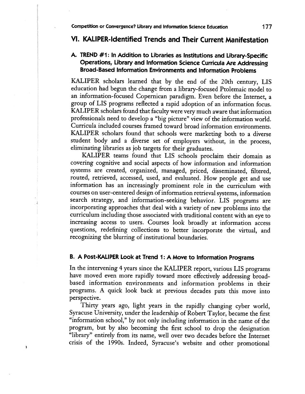#### VI. KALIPER-Identified Trends and Their Current Manifestation

### A. TREND #1: In Addition to Libraries as Institutions and Library-Specific Operations, Library and Information Science Curricula Are Addressing Broad-Based Information Environments and Information Problems

KALIPER scholars learned that by the end of the 20th century, US education had begun the change from <sup>a</sup> library-focused Ptolemaic model to an information-focused Copernican paradigm. Even before the Internet, <sup>a</sup> group of US programs reflected <sup>a</sup> rapid adoption of an information focus. KALIPER scholars found that faculty were very much aware that information professionals need to develop <sup>a</sup> "big <sup>p</sup>icture" view of the information world. Curricula included courses framed toward broad information environments. KALIPER scholars found that schools were marketing both to <sup>a</sup> diverse student body and <sup>a</sup> diverse set of employers without, in the process, eliminating libraries as job targets for their graduates.

KALIPER teams found that LIS schools proclaim their domain as covering cognitive and social aspects of how information and information systems are created, organized, managed, priced, disseminated, filtered, routed, retrieved, accessed, used, and evaluated. How people get and use information has an increasingly prominent role in the curriculum with courses on user-centered design of information retrieval systems, information search strategy, and information-seeking behavior. LIS programs are incorporating approaches that deal with <sup>a</sup> variety of new problems into the curriculum including those associated with traditional content with an eye to increasing access to users. Courses look broadly at information access questions, redefining collections to better incorporate the virtual, and recognizing the blurring of institutional boundaries.

#### B. A Post-KALIPER Look at Trend 1: A Move to Information Programs

In the intervening <sup>4</sup> years since the KALIPER report, various US programs have moved even more rapidly toward more effectively addressing broadbased information environments and information problems in their programs. <sup>A</sup> quick look back at previous decades puts this move into perspective.

Thirty years ago, light years in the rapidly changing cyber world, Syracuse University, under the leadership of Robert Taylor, became the first "information school," by not only including information in the name of the program, but by also becoming the first school to drop the designation "library" entirely from its name, well over two decades before the Internet crisis of the 1990s. Indeed, Syracuse's website and other promotional

 $\bullet$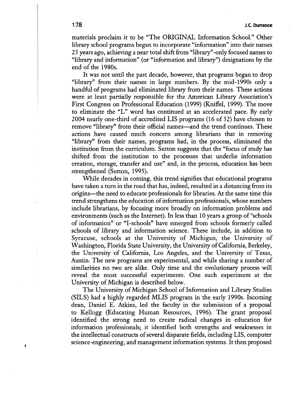materials proclaim it to be "The ORIGINAL Information School." Other library school programs began to incorporate "information" into their names <sup>25</sup> years ago, achieving <sup>a</sup> near total shift from "library"-only focused names to "library and information" (or "information and library") designations by the end of the 1980s.

It was not until the pas<sup>t</sup> decade, however, that programs began to drop "library" from their names in large numbers. By the mid-1990s only <sup>a</sup> handful of programs had eliminated library from their names. These actions were at least partially responsible for the American Library Association's First Congress on Professional Education (1999) (Kniffel, 1999). The move to eliminate the "L" word has continued at an accelerated pace. By early 2004 nearly one-third of accredited LIS programs (16 of 52) have chosen to remove "library" from their official names—and the trend continues. These actions have caused much concern among librarians that in removing "library" from their names, programs had, in the process, eliminated the institution from the curriculum. Sutton suggests that the "focus of study has shifted from the institution to the processes that underlie information creation, storage, transfer and use" and, in the process, education has been strengthened (Sutton, 1995).

While decades in coming, this trend signifies that educational programs have taken <sup>a</sup> turn in the road that has, indeed, resulted in <sup>a</sup> distancing from its origins—the need to educate professionals for libraries. At the same time this trend strengthens the education of information professionals, whose numbers include librarians, by focusing more broadly on information problems and environments (such as the Internet). In less than 10 years <sup>a</sup> group of "schools of information" or "I-schools" have emerged from schools formerly called schools of library and information science. These include, in addition to Syracuse, schools at the University of Michigan, the University of Washington, Florida State University, the University of California, Berkeley, the University of California, Los Angeles, and the University of Texas, Austin. The new programs are experimental, and while sharing <sup>a</sup> number of similarities no two are alike. Only time and the evolutionary process will reveal the most successful experiments. One such experiment at the University of Michigan is described below.

The University of Michigan School of Information and Library Studies (SILS) had <sup>a</sup> highly regarded MLIS program in the early 1990s. Incoming dean, Daniel E. Atkins, led the faculty in the submission of <sup>a</sup> proposal to Kellogg (Educating Human Resources, 1996). The gran<sup>t</sup> proposal identified the strong need to create radical changes in education for information professionals; it identified both strengths and weaknesses in the intellectual constructs of several disparate fields, including LIS, computer science-engineering, and managemen<sup>t</sup> information systems. It then proposed

y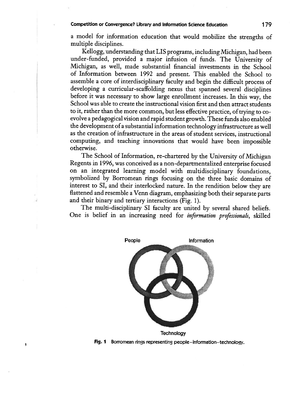<sup>a</sup> model for information education that would mobilize the strengths of multiple disciplines.

Kellogg, understanding that US programs, including Michigan, had been under-funded, provided <sup>a</sup> major infusion of funds. The University of Michigan, as well, made substantial financial investments in the School of Information between 1992 and present. This enabled the School to assemble <sup>a</sup> core of interdisciplinary faculty and begin the difficult process of developing <sup>a</sup> curricular-scaffolding nexus that spanne<sup>d</sup> several disciplines before it was necessary to show large enrollment increases. In this way, the School was able to create the instructional vision first and then attract students to it, rather than the more common, but less effective practice, of trying to coevolve <sup>a</sup> pedagogical vision and rapid student growth. These funds also enabled the development of <sup>a</sup> substantial information technology infrastructure as well as the creation of infrastructure in the areas of student services, instructional computing, and teaching innovations that would have been impossible otherwise.

The School of Information, re-chartered by the University of Michigan Regents in 1996, was conceived as <sup>a</sup> non-departmentalized enterprise focused on an integrated learning model with multidisciplinary foundations, symbolized by Borromean rings focusing on the three basic domains of interest to SI, and their interlocked nature. In the rendition below they are flattened and resemble <sup>a</sup> Venn diagram, emphasizing both their separate parts and their binary and tertiary interactions (Fig. 1).

The multi-disciplinary SI faculty are united by several shared beliefs. One is belief in an increasing need for *information professionals*, skilled



Fig. 1 Borromean rings representing people-information-technology.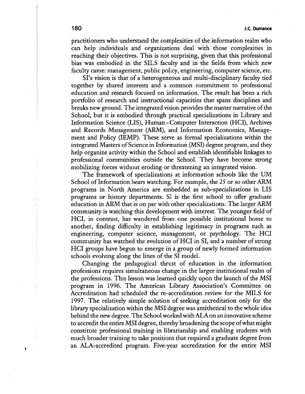practitioners who understand the complexities of the information realm who can help individuals and organizations deal with those complexities in reaching their objectives. This is not surprising, given that this professional bias was embodied in the SILS faculty and in the fields from which new faculty came: management, public policy, engineering, computer science, etc.

SI's vision is that of <sup>a</sup> heterogeneous and multi-disciplinary faculty tied together by shared interests and <sup>a</sup> common commitment to professional education and research focused on information. The result has been <sup>a</sup> rich portfolio of research and instructional capacities that spans disciplines and breaks new ground. The integrated vision provides the master narrative of the School, but it is embodied through practical specializations in Library and Information Science (US), Human—Computer Interaction (HCI), Archives and Records Management (ARM), and Information Economics, Manage ment and Policy (IEMP). These serve as formal specializations within the integrated Masters of Science in Information (MSI) degree program, and they help organize activity within the School and establish identifiable linkages to professional communities outside the School. They have become strong mobilizing forces without eroding or threatening an integrated vision.

The framework of specializations at information schools like the UM School of Information bears watching. For example, the 25 or so other ARM programs in North America are embedded as sub-specializations in US programs or history departments. SI is the first school to offer graduate education in ARM that is on par with other specializations. The larger ARM community is watching this development with interest. The younger field of HCI, in contrast, has wandered from one possible institutional home to another, finding difficulty in establishing legitimacy in programs such as engineering, computer science, management, or psychology. The HCI community has watched the evolution of HCI in SI, and <sup>a</sup> number of strong HCI groups have begun to emerge in <sup>a</sup> group of newly formed information schools evolving along the lines of the SI model.

Changing the pedagogical thrust of education in the information professions requires simultaneous change in the larger institutional realm of the professions. This lesson was learned quickly upon the launch of the MSI program in 1996. The American Library Association's Committee on Accreditation had scheduled the re-accreditation review for the MILS for 1997. The relatively simple solution of seeking accreditation only for the library specialization within the MSI degree was antithetical to the whole idea behind the new degree. The School worked with ALA on an innovative scheme to accredit the entire MSI degree, thereby broadening the scope ofwhat might constitute professional training in librarianship and enabling students with much broader training to take positions that required <sup>a</sup> graduate degree from an ALA-accredited program. Five-year accreditation for the entire MSI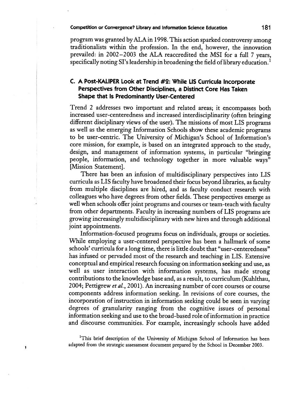#### Competition or Convergence? Library and Information Science Education 181

program was granted by ALA in 1998. This action sparked controversy among traditionalists within the profession. In the end, however, the innovation prevailed: in 2002—2003 the ALA reaccredited the MSI for <sup>a</sup> full <sup>7</sup> years, specifically noting SI's leadership in broadening the field of library education.<sup>1</sup>

#### C. A Post-KALIPER Look at Trend #2: While LIS Curricula Incorporate Perspectives from Other Disciplines, <sup>a</sup> Distinct Core Has Taken Shape that Is Predominantly User-Centered

Trend <sup>2</sup> addresses two important and related areas; it encompasses both increased user-centeredness and increased interdisciplinarity (often bringing different disciplinary views of the user). The missions of most LIS programs as well as the emerging Information Schools show these academic programs to be user-centric. The University of Michigan's School of Information's core mission, for example, is based on an integrated approac<sup>h</sup> to the study, design, and managemen<sup>t</sup> of information systems, in particular "bringing people, information, and technology together in more valuable ways" [Mission Statement].

There has been an infusion of multidisciplinary perspectives into LIS curricula as US faculty have broadened their focus beyond libraries, as faculty from multiple disciplines are hired, and as faculty conduct research with colleagues who have degrees from other fields. These perspectives emerge as well when schools offer joint programs and courses or team-teach with faculty from other departments. Faculty in increasing numbers of US programs are growing increasingly multidisciplinary with new hires and through additional joint appointments.

Information-focused programs focus on individuals, groups or societies. While employing <sup>a</sup> user-centered perspective has been <sup>a</sup> hallmark of some schools' curricula for <sup>a</sup> long time, there is little doubt that "user-centeredness" has infused or pervaded most of the research and teaching in LIS. Extensive conceptual and empirical research focusing on information seeking and use, as well as user interaction with information systems, has made strong contributions to the knowledge base and, as <sup>a</sup> result, to curriculum (Kuhlthau, 2004; Pettigrew et al., 2001). An increasing number of core courses or course components address information seeking. In revisions of core courses, the incorporation of instruction in information seeking could be seen in varying degrees of granularity ranging from the cognitive issues of personal information seeking and use to the broad-based role ofinformation in practice and discourse communities. For example, increasingly schools have added

<sup>1</sup>This brief description of the University of Michigan School of Information has been adapted from the strategic assessment document prepare<sup>d</sup> by the School in December 2003.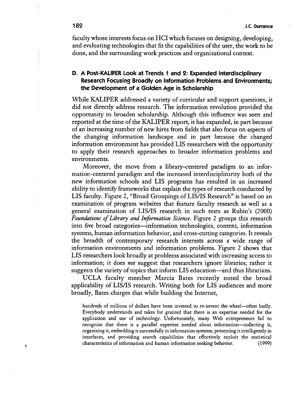faculty whose interests focus on HCI which focuses on designing, developing, and evaluating technologies that fit the capabilities of the user, the work to be done, and the surrounding work practices and organizational context.

#### D. A Post-KALIPER Look at Trends 1 and 2: Expanded Interdisciplinary Research Focusing Broadly on Information Problems and Environments; the Development of <sup>a</sup> Golden Age in Scholarship

'While KALIPER addressed <sup>a</sup> variety of curricular and suppor<sup>t</sup> questions, it did not directly address research. The information revolution provided the opportunity to broaden scholarship. Although this influence was seen and reported at the time of the KALIPER report, it has expanded, in part because of an increasing number of new hires from fields that also focus on aspects of the changing information landscape and in par<sup>t</sup> because the changed information environment has provided US researchers with the opportunity to apply their research approaches to broader information problems and environments.

Moreover, the move from <sup>a</sup> library-centered paradigm to an infor mation-centered paradigm and the increased interdisciplinarity both of the new information schools and US programs has resulted in an increased ability to identify frameworks that explain the types of research conducted by LIS faculty. Figure 2, "Broad Groupings of US/IS Research" is based on an examination of program websites that feature faculty research as well as <sup>a</sup> general examination of US/IS research in such texts as Rubin's (2000) Foundations of Library and Information Science. Figure 2 groups this research into five broad categories—information technologies, content, information systems, human information behavior, and cross-cutting categories. It reveals the breadth of contemporary research interests across <sup>a</sup> wide range of information environments and information problems. Figure 2 shows that LIS researchers look broadly at problems associated with increasing access to information; it does not sugges<sup>t</sup> that researchers ignore libraries; rather it suggests the variety of topics that inform LIS education—and thus librarians.

UCLA faculty member Marcia Bates recently noted the broad applicability of LIS/IS research. Writing both for LIS audiences and more broadly, Bates charges that while building the Internet,

hundreds of millions of dollars have been invested to re-invent the wheel—often badly. Everybody understands and takes for granted that there is an expertise needed for the application and use of technology. Unfortunately, many Web entrepreneurs fail to recognize that there is <sup>a</sup> parallel expertise needed about information—collecting it, organizing it, embedding it successfully in information systems, presenting it intelligently in interfaces, and providing search capabilities that effectively exploit the statistical characteristics of information and human information seeking behavior. (1999)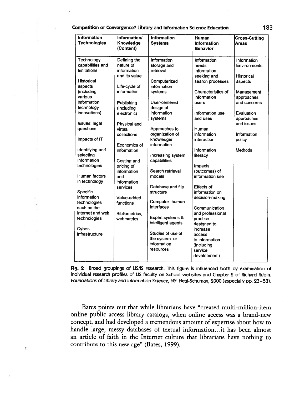#### Competition or Convergence? Library and Information Science Education 183

| Information<br><b>Technologies</b> | Information/<br>Knowledge<br>(Content) | <b>Information</b><br><b>Systems</b> | <b>Human</b><br><b>Information</b><br><b>Behavior</b> | <b>Cross-Cutting</b><br><b>Areas</b> |
|------------------------------------|----------------------------------------|--------------------------------------|-------------------------------------------------------|--------------------------------------|
| Technology                         | Defining the                           | Information                          | Information                                           | Information                          |
| capabilities and                   | nature of                              | storage and                          | needs                                                 | <b>Environments</b>                  |
| limitations                        | information                            | retrieval                            | information                                           |                                      |
|                                    | and its value                          |                                      | seeking and                                           | <b>Historical</b>                    |
| Historical                         |                                        | Computerized                         | search processes                                      | aspects                              |
| aspects                            | Life-cycle of<br>information           | information                          |                                                       |                                      |
| (including<br>various              |                                        | systems                              | Characteristics of<br>information                     | Management                           |
| information                        |                                        | User-centered                        |                                                       | approaches<br>and concerns           |
| technology                         | Publishing                             | design of                            | users                                                 |                                      |
| innovations)                       | (including<br>electronic)              | information                          | Information use                                       | Evaluation                           |
|                                    |                                        | systems                              | and uses                                              | approaches                           |
| Issues; legal                      | Physical and                           |                                      |                                                       | and issues                           |
| questions                          | virtual                                | Approaches to                        | Human                                                 |                                      |
|                                    | collections                            | organization of                      | information                                           | Information                          |
| Impacts of IT                      |                                        | knowledge/                           | interaction                                           | policy                               |
|                                    | Economics of                           | information                          |                                                       |                                      |
| Identifying and                    | information                            |                                      | Information                                           | <b>Methods</b>                       |
| selecting                          |                                        | Increasing system                    | literacy                                              |                                      |
| information                        | Costing and                            | capabilities                         |                                                       |                                      |
| technologies                       | pricing of                             |                                      | Impacts                                               |                                      |
|                                    | information                            | Search retrieval                     | (outcomes) of                                         |                                      |
| Human factors                      | and                                    | models                               | information use                                       |                                      |
| in technology                      | information                            |                                      |                                                       |                                      |
|                                    | services                               | Database and file                    | <b>Effects of</b>                                     |                                      |
| Specific                           |                                        | structure                            | information on                                        |                                      |
| information                        | Value-added                            |                                      | decision-making                                       |                                      |
| technologies                       | functions                              | Computer-human<br>interfaces         |                                                       |                                      |
| such as the<br>internet and web    |                                        |                                      | Communication                                         |                                      |
| technologies                       | <b>Bibliometrics:</b>                  | Expert systems &                     | and professional<br>practice                          |                                      |
|                                    | webmetrics                             | intelligent agents                   | designed to                                           |                                      |
| Cyber-                             |                                        |                                      | increase                                              |                                      |
| infrastructure                     |                                        | Studies of use of                    | access                                                |                                      |
|                                    |                                        | the system or                        | to information                                        |                                      |
|                                    |                                        | information                          | (including                                            |                                      |
|                                    |                                        | resources                            | service                                               |                                      |
|                                    |                                        |                                      | development)                                          |                                      |
|                                    |                                        |                                      |                                                       |                                      |

Fig. 2 Broad groupings of LIS/IS research. This figure is influenced both by examination of individual research profiles of US faculty on School websites and Chapter <sup>2</sup> of Richard Rubin. Foundations of Library and Information Science, NY: Neal-Schuman, <sup>2000</sup> (especially pp. 23—53).

Bates points out that while librarians have "created multi-million-item online public access library catalogs, when online access was <sup>a</sup> brand-new concept, and had developed <sup>a</sup> tremendous amount of expertise about how to handle large, messy databases of textual information.. .it has been almost an article of faith in the Internet culture that librarians have nothing to contribute to this new age" (Bates, 1999).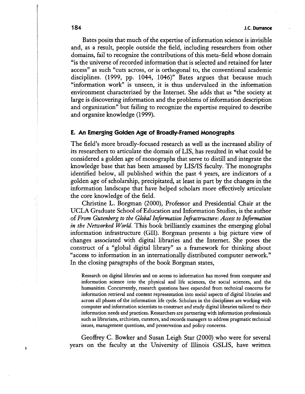Bates posits that much of the expertise of information science is invisible and, as <sup>a</sup> result, people outside the field, including researchers from other domains, fail to recognize the contributions of this meta-field whose domain "is the universe of recorded information that is selected and retained for later access" as such "cuts across, or is orthogonal to, the conventional academic disciplines. (1999, pp. 1044, 1046)" Bates argues that because much "information work" is unseen, it is thus undervalued in the information environment characterized by the Internet. She adds that as "the society at large is discovering information and the problems of information description and organization" but failing to recognize the expertise required to describe and organize knowledge (1999).

#### E. An Emerging Golden Age of Broadly-Framed Monographs

The field's more broadly-focused research as well as the increased ability of its researchers to articulate the domain of US, has resulted in what could be considered <sup>a</sup> golden age of monographs that serve to distill and integrate the knowledge base that has been amassed by LIS/IS faculty. The monographs identified below, all published within the pas<sup>t</sup> 4 years, are indicators of <sup>a</sup> golden age of scholarship, precipitated, at least in par<sup>t</sup> by the changes in the information landscape that have helped scholars more effectively articulate the core knowledge of the field.

Christine L. Borgman (2000), Professor and Presidential Chair at the UCLA Graduate School of Education and Information Studies, is the author of From Gutenberg to the Global Information Infrastructure: Access to Information in the Networked World. This book brilliantly examines the emerging global information infrastructure (Gil). Borgman presents <sup>a</sup> big picture view of changes associated with digital libraries and the Internet. She poses the construct of <sup>a</sup> "global digital library" as <sup>a</sup> framework for thinking about "access to information in an internationally distributed computer network." In the closing paragraphs of the book Borgman states,

Research on digital libraries and on access to information has moved from computer and information science into the physical and life sciences, the social sciences, and the humanities. Concurrently, research questions have expanded from technical concerns for information retrieval and content representation into social aspects of digital libraries and across all phases of the information life cycle. Scholars in the disciplines are working with computer and information scientists to construct and study digital libraries tailored to their information needs and practices. Researchers are partnering with information professionals such as librarians, archivists, curators, and records managers to address pragmatic technical issues, managemen<sup>t</sup> questions, and preservation and policy concerns.

Geoffrey C. Bowker and Susan Leigh Star (2000) who were for several years on the faculty at the University of Illinois GSLIS, have written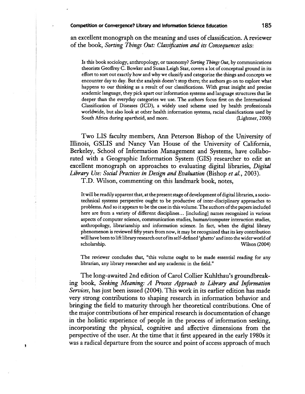an excellent monograph on the meaning and uses of classification. A reviewer of the book, Sorting Things Out: Classification and its Consequences asks:

Is this book sociology, anthropology, or taxonomy? Sorting Things Out, by communications theorists Geoffrey C. Bowker and Susan Leigh Star, covers <sup>a</sup> lot of conceptual ground in its effort to sort out exactly how and why we classify and categorize the things and concepts we encounter day to day. But the analysis doesn't stop there; the authors go on to explore what happens to our thinking as <sup>a</sup> result of our classifications. With grea<sup>t</sup> insight and precise academic language, they pick apar<sup>t</sup> our information systems and language structures that lie deeper than the everyday categories we use. The authors focus first on the International Classification of Diseases (lCD), <sup>a</sup> widely used scheme used by health professionals worldwide, but also look at other health information systems, racial classifications used by South Africa during apartheid, and more. (Lightner, 2000)

Two LIS faculty members, Ann Peterson Bishop of the University of Illinois, GSLIS and Nancy Van House of the University of California, Berkeley, School of Information Management and Systems, have collabo rated with <sup>a</sup> Geographic Information System (GIS) researcher to edit an excellent monograph on approaches to evaluating digital libraries, Digital Library Use: Social Practices in Design and Evaluation (Bishop et al., 2003).

T.D. Wilson, commenting on this landmark book, notes,

It will be readily apparent that, at the present stage of development of digital libraries, a sociotechnical systems perspective ought to be productive of inter-disciplinary approaches to problems. And so it appears to be the case in this volume. The authors ofthe papers included here are from <sup>a</sup> variety of different disciplines... [including] names recognized in various aspects of computer science, communication studies, human/computer interaction studies, anthropology, librarianship and information science. In fact, when the digital library phenomenon is reviewed fifty years from now, it may be recognized that its key contribution will have been to lift library research out ofits self-defined 'ghetto' and into the wider world of scholarship. Wilson (2004)

The reviewer concludes that, "this volume ought to be made essential reading for any librarian, any library researcher and any academic in the field."

The long-awaited 2nd edition of Carol Collier Kuhlthau's groundbreak ing book, Seeking Meaning: A Process Approach to Library and Information Services, has just been issued (2004). This work in its earlier edition has made very strong contributions to shaping research in information behavior and bringing the field to maturity through her theoretical contributions. One of the major contributions of her empirical research is documentation of change in the holistic experience of people in the process of information seeking, incorporating the physical, cognitive and affective dimensions from the perspective of the user. At the time that it first appeared in the early 1 980s it was a radical departure from the source and point of access approach of much

١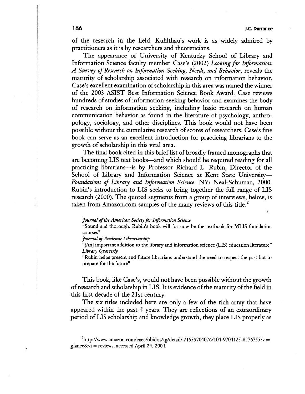of the research in the field. Kuhlthau's work is as widely admired by practitioners as it is by researchers and theoreticians.

The appearance of University of Kentucky School of Library and Information Science faculty member Case's (2002) Looking for Information: A Survey of Research on Information Seeking, Needs, and Behavior, reveals the maturity of scholarship associated with research on information behavior. Case's excellent examination of scholarship in this area was named the winner of the 2003 ASIST Best Information Science Book Award. Case reviews hundreds of studies of information-seeking behavior and examines the body of research on information seeking, including basic research on human communication behavior as found in the literature of psychology, anthro pology, sociology, and other disciplines. This book would not have been possible without the cumulative research of scores of researchers. Case's fine book can serve as an excellent introduction for practicing librarians to the growth of scholarship in this vital area.

The final book cited in this brief list of broadly framed monographs that are becoming US text books—and which should be required reading for all practicing librarians—is by Professor Richard L. Rubin, Director of the School of Library and Information Science at Kent State University— Foundations of Library and Information Science. NY: Neal-Schuman, 2000. Rubin's introduction to US seeks to bring together the full range of US research (2000). The quoted segments from <sup>a</sup> group of interviews, below, is taken from Amazon.com samples of the many reviews of this title.<sup>2</sup>

Journal of the American Society for Information Science

"Sound and thorough. Rubin's book will for now be the textbook for MLIS foundation courses"

Journal of Academic Librarianship

"[An] important addition to the library and information science (LIS) education literature" Library Quarterly

"Rubin helps presen<sup>t</sup> and future librarians understand the need to respec<sup>t</sup> the pas<sup>t</sup> but to prepare for the future"

This book, like Case's, would not have been possible without the growth of research and scholarship in LIS. It is evidence of the maturity of the field in this first decade of the 21st century.

The six titles included here are only <sup>a</sup> few of the rich array that have appeared within the pas<sup>t</sup> 4 years. They are reflections of an extraordinary period of UIS scholarship and knowledge growth; they place UIS properly as

<sup>2</sup> http://www.amazon.com/execJobidos/tg/detaill-/1 555704026/104-970412 5-827675 5?v <sup>=</sup> glance&vi <sup>=</sup> reviews, accessed April 24, 2004.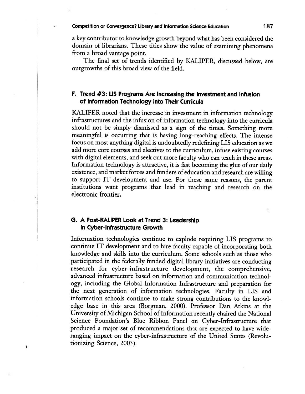Competition or Convergence? Library and Information Science Education 187

<sup>a</sup> key contributor to knowledge growth beyond what has been considered the domain of librarians. These titles show the value of examining <sup>p</sup>henomena from <sup>a</sup> broad vantage point.

The final set of trends identified by KALIPER, discussed below, are outgrowths of this broad view of the field.

#### F. Trend #3: LIS Programs Are Increasing the Investment and Infusion of Information Technology into Their Curricula

KALIPER noted that the increase in investment in information technology infrastructures and the infusion of information technology into the curricula should not be simply dismissed as <sup>a</sup> sign of the times. Something more meaningful is occurring that is having long-reaching effects. The intense focus on most anything digital is undoubtedly redefining LIS education as we add more core courses and electives to the curriculum, infuse existing courses with digital elements, and seek out more faculty who can teach in these areas. Information technology is attractive, it is fast becoming the <sup>g</sup>lue of our daily existence, and market forces and funders of education and research are willing to suppor<sup>t</sup> IT development and use. For these same reasons, the paren<sup>t</sup> institutions want programs that lead in teaching and research on the electronic frontier.

#### G. A Post-KALIPER Look at Trend 3: Leadership in Cyber-Infrastructure Growth

ï

Information technologies continue to explode requiring US programs to continue IT development and to hire faculty capable of incorporating both knowledge and skills into the curriculum. Some schools such as those who participated in the federally funded digital library initiatives are conducting research for cyber-infrastructure development, the comprehensive, advanced infrastructure based on information and communication technol ogy, including the Global Information Infrastructure and preparation for the next generation of information technologies. Faculty in US and information schools continue to make strong contributions to the knowl edge base in this area (Borgman, 2000). Professor Dan Atkins at the University of Michigan School of Information recently chaired the National Science Foundation's Blue Ribbon Panel on Cyber-Infrastructure that produced <sup>a</sup> major set of recommendations that are expected to have wideranging impact on the cyber-infrastructure of the United States (Revolu tionizing Science, 2003).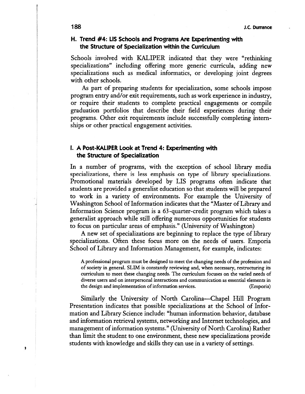#### H. Trend #4: LIS Schools and Programs Are Experimenting with the Structure of Specialization within the Curriculum

Schools involved with KALIPER indicated that they were "rethinking specializations" including offering more generic curricula, adding new specializations such as medical informatics, or developing joint degrees with other schools.

As par<sup>t</sup> of preparing students for specialization, some schools impose program entry and/or exit requirements, such as work experience in industry, or require their students to complete practical engagements or compile graduation portfolios that describe their field experiences during their programs. Other exit requirements include successfully completing internships or other practical engagemen<sup>t</sup> activities.

#### I. A Post-KALIPER Look at Trend 4: Experimenting with the Structure of Specialization

In <sup>a</sup> number of programs, with the exception of school library media specializations, there is less emphasis on type of library specializations. Promotional materials developed by LIS programs often indicate that students are provided <sup>a</sup> generalist education so that students will be prepared to work in <sup>a</sup> variety of environments. For example the University of Washington School of Information indicates that the "Master of Library and Information Science program is <sup>a</sup> 63-quarter-credit program which takes <sup>a</sup> generalist approach while still offering numerous opportunities for students to focus on particular areas of emphasis." (University of Washington)

A new set of specializations are beginning to replace the type of library specializations. Often these focus more on the needs of users. Emporia School of Library and Information Management, for example, indicates:

A professional program must be designed to meet the changing needs of the profession and of society in general. SLIM is constantly reviewing and, when necessary, restructuring its curriculum to meet these changing needs. The curriculum focuses on the varied needs of diverse users and on interpersonal interactions and communication as essential elements in the design and implementation ofinformation services. (Emporia)

Similarly the University of North Carolina—Chapel Hill Program Presentation indicates that possible specializations at the School of Infor mation and Library Science include: "human information behavior, database and information retrieval systems, networking and Internet technologies, and management of information systems." (University of North Carolina) Rather than limit the student to one environment, these new specializations provide students with knowledge and skills they can use in a variety of settings.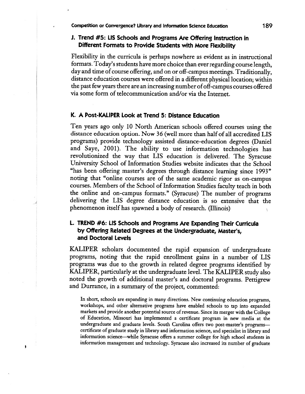#### J. Trend #5: LIS Schools and Programs Are Offering Instruction in Different Formats to Provide Students with More Flexibility

Flexibility in the curricula is perhaps nowhere as evident as in instructional formats. Today's students have more choice than ever regarding course length, day and time of course offering, and on or off-campus meetings. Traditionally, distance education courses were offered in <sup>a</sup> different <sup>p</sup>hysical location; within the pas<sup>t</sup> few years there are an increasing number ofoff-campus courses offered via some form of telecommunication and/or via the Internet.

#### K. A Post-KALIPER Look at Trend 5: Distance Education

Ten years ago only <sup>10</sup> North American schools offered courses using the distance education option. Now 36 (well more than half of all accredited LIS programs) provide technology assisted distance-education degrees (Daniel and Saye, 2001). The ability to use information technologies has revolutionized the way that LIS education is delivered. The Syracuse University School of Information Studies website indicates that the School "has been offering master's degrees through distance learning since 1993" noting that "online courses are of the same academic rigor as on-campus courses. Members of the School of Information Studies faculty teach in both the online and on-campus formats." (Syracuse) The number of programs delivering the LIS degree distance education is so extensive that the phenomenon itself has spawned <sup>a</sup> body of research. (Illinois)

#### L. TREND #6: LIS Schools and Programs Are Expanding Their Curricula by Offering Related Degrees at the Undergraduate, Master's, and Doctoral Levels

KALIPER scholars documented the rapid expansion of undergraduate programs, noting that the rapid enrollment gains in <sup>a</sup> number of US programs was due to the growth in related degree programs identified by KALIPER, particularly at the undergraduate level. The KALIPER study also noted the growth of additional master's and doctoral programs. Pettigrew and Durrance, in <sup>a</sup> summary of the project, commented:

In short, schools are expanding in many directions. New continuing education programs, workshops, and other alternative programs have enabled schools to tap into expanded markets and provide another potential source of revenue. Since its merger with the College of Education, Missouri has implemented <sup>a</sup> certificate program in new media at the undergraduate and graduate levels. South Carolina offers two post-master's programs certificate of graduate study in library and information science, and specialist in library and information science—while Syracuse offers <sup>a</sup> summer college for high school students in information managemen<sup>t</sup> and technology. Syracuse also increased its number of graduate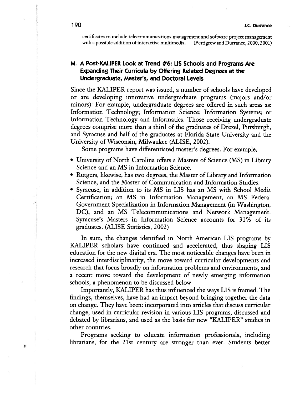certificates to include telecommunications managemen<sup>t</sup> and software project managemen<sup>t</sup> with <sup>a</sup> possible addition ofinteractive multimedia. (Pettigrew and Durrance, 2000, 2001)

#### M. A Post-KALIPER Look at Trend #6: LIS Schools and Programs Are Expanding Their Curricula by Offering Related Degrees at the Undergraduate, Master's, and Doctoral Levels

Since the KALIPER repor<sup>t</sup> was issued, <sup>a</sup> number of schools have developed or are developing innovative undergraduate programs (majors and/or minors). For example, undergraduate degrees are offered in such areas as: Information Technology; Information Science; Information Systems; or Information Technology and Informatics. Those receiving undergraduate degrees comprise more than <sup>a</sup> third of the graduates of Drexel, Pittsburgh, and Syracuse and half of the graduates at Florida State University and the University of Wisconsin, Milwaukee (ALISE, 2002).

Some programs have differentiated master's degrees. For example,

- University of North Carolina offers <sup>a</sup> Masters of Science (MS) in Library Science and an MS in Information Science.
- Rutgers, likewise, has two degrees, the Master of Library and Information Science; and the Master of Communication and Information Studies.
- Syracuse, in addition to its MS in LIS has an MS with School Media Certification; an MS in Information Management, an MS Federal Government Specialization in Information Management (in Washington, DC), and an MS Telecommunications and Network Management. Syracuse's Masters in Information Science accounts for 31% of its graduates. (ALISE Statistics, 2002)

In sum, the changes identified in North American LIS programs by KALIPER scholars have continued and accelerated, thus shaping LIS education for the new digital era. The most noticeable changes have been in increased interdisciplinarity, the move toward curricular developments and research that focus broadly on information problems and environments, and <sup>a</sup> recent move toward the development of newly emerging information schools, <sup>a</sup> phenomenon to be discussed below.

Importantly, KALIPER has thus influenced the ways LIS is framed. The findings, themselves, have had an impact beyond bringing together the data on change. They have been: incorporated into articles that discuss curricular change, used in curricular revision in various LIS programs, discussed and debated by librarians, and used as the basis for new "KALIPER" studies in other countries.

Programs seeking to educate information professionals, including librarians, for the 21st century are stronger than ever. Students better

۰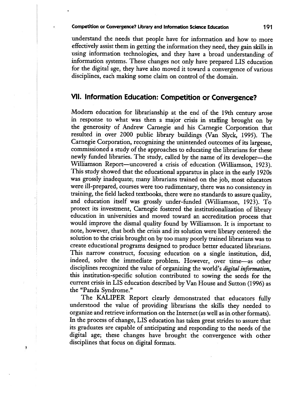#### Competition or Convergence? Library and Information Science Education 191

understand the needs that people have for information and how to more effectively assist them in getting the information they need, they gain skills in using information technologies, and they have <sup>a</sup> broad understanding of information systems. These changes not only have prepared US education for the digital age, they have also moved it toward <sup>a</sup> convergence of various disciplines, each making some claim on control of the domain.

## VII. Information Education: Competition or Convergence?

Modern education for librarianship at the end of the 19th century arose in response to what was then <sup>a</sup> major crisis in staffing brought on by the generosity of Andrew Carnegie and his Carnegie Corporation that resulted in over <sup>2000</sup> public library buildings (Van Slyck, 1995). The Carnegie Corporation, recognizing the unintended outcomes of its largesse, commissioned <sup>a</sup> study of the approaches to educating the librarians for these newly funded libraries. The study, called by the name of its developer—the Williamson Report—uncovered <sup>a</sup> crisis of education (Williamson, 1923). This study showed that the educational apparatus in place in the early 1920s was grossly inadequate; many librarians trained on the job, most educators were ill-prepared, courses were too rudimentary, there was no consistency in training, the field lacked textbooks, there were no standards to assure quality, and education itself was grossly under-funded (Williamson, 1923). To protect its investment, Carnegie fostered the institutionalization of library education in universities and moved toward an accreditation process that would improve the dismal quality found by Williamson. It is important to note, however, that both the crisis and its solution were library centered: the solution to the crisis brought on by too many poorly trained librarians was to create educational programs designed to produce better educated librarians. This narrow construct, focusing education on <sup>a</sup> single institution, did, indeed, solve the immediate problem. However, over time—as other disciplines recognized the value of organizing the world's *digital information*, this institution-specific solution contributed to sowing the seeds for the current crisis in US education described by Van House and Sutton (1996) as the "Panda Syndrome."

The KAUIPER Report clearly demonstrated that educators fully understood the value of providing librarians the skills they needed to organize and retrieve information on the Internet (as well as in other formats). In the process of change, LIS education has taken great strides to assure that its graduates are capable of anticipating and responding to the needs of the digital age; these changes have brought the convergence with other disciplines that focus on digital formats.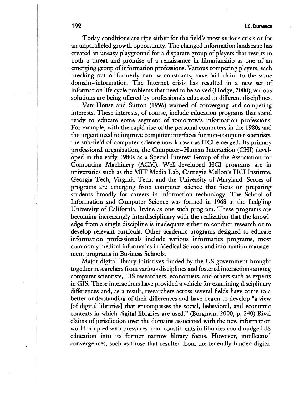Today conditions are ripe either for the field's most serious crisis or for an unparalleled growth opportunity. The changed information landscape has created an uneasy playground for <sup>a</sup> disparate group of players that results in both <sup>a</sup> threat and promise of <sup>a</sup> renaissance in librarianship as one of an emerging group of information professions. Various competing players, each breaking out of formerly narrow constructs, have laid claim to the same domain—information. The Internet crisis has resulted in <sup>a</sup> new set of information life cycle problems that need to be solved (Hodge, 2000); various solutions are being offered by professionals educated in different disciplines.

Van House and Sutton (1996) warned of converging and competing interests. These interests, of course, include education programs that stand ready to educate some segmen<sup>t</sup> of tomorrow's information professions. For example, with the rapid rise of the personal computers in the 1980s and the urgen<sup>t</sup> need to improve computer interfaces for non-computer scientists, the sub-field of computer science now known as HCI emerged. Its primary professional organization, the Computer—Human Interaction (CHI) devel oped in the early 1980s as <sup>a</sup> Special Interest Group of the Association for Computing Machinery (ACM). Well-developed HCI programs are in universities such as the MIT Media Lab, Carnegie Mellon's HCI Institute, Georgia Tech, Virginia Tech, and the University of Maryland. Scores of programs are emerging from computer science that focus on preparing students broadly for careers in information technology. The School of Information and Computer Science was formed in 1968 at the fledgling University of California, Irvine as one such program. These programs are becoming increasingly interdisciplinary with the realization that the knowl edge from <sup>a</sup> single discipline is inadequate either to conduct research or to develop relevant curricula. Other academic programs designed to educate information professionals include various informatics programs, most commonly medical informatics in Medical Schools and information manage ment programs in Business Schools.

Major digital library initiatives funded by the US governmen<sup>t</sup> brought together researchers from various disciplines and fostered interactions among computer scientists, LIS researchers, economists, and others such as experts in GIS. These interactions have provided <sup>a</sup> vehicle for examining disciplinary differences and, as <sup>a</sup> result, researchers across several fields have come to <sup>a</sup> better understanding of their differences and have begun to develop "a view [of digital libraries] that encompasses the social, behavioral, and economic contexts in which digital libraries are used." (Borgman, 2000, p. 240) Rival claims of jurisdiction over the domains associated with the new information world coupled with pressures from constituents in libraries could nudge LIS education into its former narrow library focus. However, intellectual convergences, such as those that resulted from the federally funded digital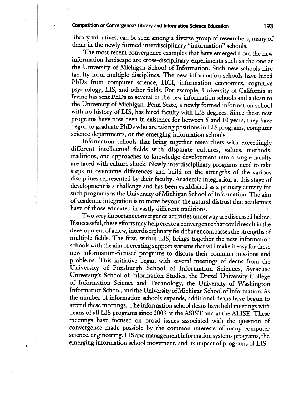library initiatives, can be seen among <sup>a</sup> diverse group of researchers, many of them in the newly formed interdisciplinary "information" schools.

The most recent convergence examples that have emerged from the new information landscape are cross-disciplinary experiments such as the one at the University of Michigan School of Information. Such new schools hire faculty from multiple disciplines. The new information schools have hired PhDs from computer science, HCI, information economics, cognitive psychology, US, and other fields. For example, University of California at Irvine has sent PhDs to several of the new information schools and <sup>a</sup> dean to the University of Michigan. Penn State, <sup>a</sup> newly formed information school with no history of LIS, has hired faculty with LIS degrees. Since these new programs have now been in existence for between <sup>5</sup> and <sup>10</sup> years, they have begun to graduate PhDs who are taking positions in LIS programs, computer science departments, or the emerging information schools.<br>Information schools that bring together researchers with exceedingly

different intellectual fields with disparate cultures, values, methods, traditions, and approaches to knowledge development into <sup>a</sup> single faculty are faced with culture shock. Newly interdisciplinary programs need to take steps to overcome differences and build on the strengths of the various disciplines represented by their faculty. Academic integration at this stage of development is a challenge and has been established as a primary activity for such programs as the University of Michigan School of Information. The aim of academic integration is to move beyond the natural distrust that academics have of those educated in vastly different traditions.

Two very important convergence activities underway are discussed below. Ifsuccessftil, these efforts may help create <sup>a</sup> convergence that could result in the development ofa new, interdisciplinary field that encompasses the strengths of multiple fields. The first, within US, brings together the new information schools with the aim of creating support systems that will make it easy for these new information-focused programs to discuss their common missions and problems. This initiative began with several meetings of deans from the University of Pittsburgh School of Information Sciences, Syracuse University's School of Information Studies, the Drexel University College of Information Science and Technology, the University of Washington Information School, and the University of Michigan School of Information. As the number of information schools expands, additional deans have begun to attend these meetings. The information school deans have held meetings with deans of all LIS programs since 2003 at the ASIST and at the ALISE. These meetings have focused on broad issues associated with the question of convergence made possible by the common interests of many computer science, engineering, US and management information systems programs, the emerging information school movement, and its impact of programs of US.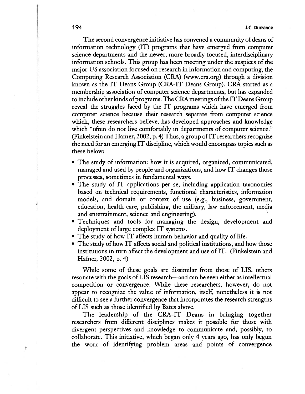The second convergence initiative has convened <sup>a</sup> community of deans of information technology (IT) programs that have emerged from computer science departments and the newer, more broadly focused, interdisciplinary information schools. This group has been meeting under the auspices of the major US association focused on research in information and computing, the Computing Research Association (CRA) (www.cra.org) through <sup>a</sup> division known as the IT Deans Group (CRA-IT Deans Group). CRA started as <sup>a</sup> membership association of computer science departments, but has expanded to include other kinds of programs. The CRA meetings of the IT Deans Group reveal the struggles faced by the IT programs which have emerged from computer science because their research separate from computer science which, these researchers believe, has developed approaches and knowledge which "often do not live comfortably in departments of computer science." (Finkeistein and Hafner, 2002, p. 4) Thus, <sup>a</sup> group ofIT researchers recognize the need for an emerging IT discipline, which would encompass topics such as these below:

- The study of information: how it is acquired, organized, communicated, managed and used by people and organizations, and how IT changes those processes, sometimes in fundamental ways.
- The study of IT applications per se, including application taxonomies based on technical requirements, functional characteristics, information models, and domain or context of use (e.g., business, government, education, health care, publishing, the military, law enforcement, media and entertainment, science and engineering).
- Techniques and tools for managing the design, development and deployment of large complex IT systems.
- The study of how IT affects human behavior and quality of life.
- The study of how IT affects social and political institutions, and how those institutions in turn affect the development and use of IT. (Finkelstein and Hafner, 2002, p. 4)

'While some of these goals are dissimilar from those of US, others resonate with the goals of LIS research—and can be seen either as intellectual competition or convergence. While these researchers, however, do not appear to recognize the value of information, itself, nonetheless it is not difficult to see <sup>a</sup> further convergence that incorporates the research strengths of LIS such as those identified by Bates above.

The leadership of the CRA-IT Deans in bringing together researchers from different disciplines makes it possible for those with divergent perspectives and knowledge to communicate and, possibly, to collaborate. This initiative, which began only 4 years ago, has only begun the work of identifying problem areas and points of convergence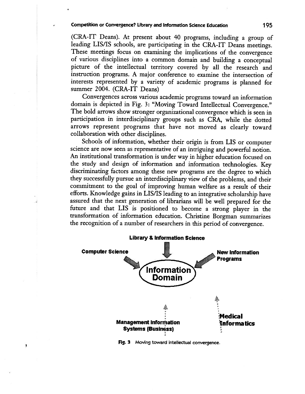#### Competition or Convergence? Library and Information Science Education 195

(CRA-IT Deans). At present about <sup>40</sup> programs, including <sup>a</sup> group of leading US/IS schools, are participating in the CRA-IT Deans meetings. These meetings focus on examining the implications of the convergence of various disciplines into <sup>a</sup> common domain and building <sup>a</sup> conceptual picture of the intellectual territory covered by all the research and instruction programs. A major conference to examine the intersection of interests represented by <sup>a</sup> variety of academic programs is <sup>p</sup>lanned for summer 2004. (CRA-IT Deans)

Convergences across various academic programs toward an information domain is depicted in Fig. 3: "Moving Toward Intellectual Convergence." The bold arrows show stronger organizational convergence which is seen in participation in interdisciplinary groups such as CRA, while the dotted arrows represent programs that have not moved as clearly toward collaboration with other disciplines.

Schools of information, whether their origin is from US or computer science are now seen as representative of an intriguing and powerful notion. An institutional transformation is under way in higher education focused on the study and design of information and information technologies. Key discriminating factors among these new programs are the degree to which they successfully pursue an interdisciplinary view of the problems, and their commitment to the goal of improving human welfare as <sup>a</sup> result of their efforts. Knowledge gains in LIS/IS leading to an integrative scholarship have assured that the next generation of librarians will be well prepared for the future and that US is positioned to become <sup>a</sup> strong <sup>p</sup>layer in the transformation of information education. Christine Borgman summarizes the recognition of <sup>a</sup> number of researchers in this period of convergence.



Fig. 3 Moving toward intellectual convergence.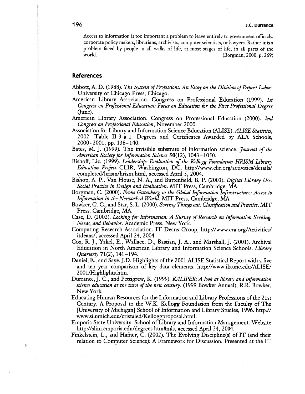Access to information is too important <sup>a</sup> problem to leave entirely to governmen<sup>t</sup> officials, corporate policy makers, librarians, archivists, computer scientists, or lawyers. Rather it is <sup>a</sup> problem faced by people in all walks of life, at most stages of life, in all parts of the world. (Borgman, 2000, p. 269)

#### References

 $\lambda$ 

- Abbott, A. D. (1988). The System of Professions: An Essay on the Division of Expert Labor. University of Chicago Press, Chicago.
- American Library Association. Congress on Professional Education (1999). 1st Congress on Professional Education: Focus on Education for the First Professional Degree (June).
- American Library Association. Congress on Professional Education (2000). 2nd Congress on Professional Education, November 2000.
- Association for Library and Information Science Education (ALISE). ALISE Statistics, 2002. Table 11-3-a-i. Degrees and Certificates Awarded by ALA Schools, 2000—2001, PP. 138— 140.
- Bates, M. J. (1999). The invisible substrate of information science. *Journal of the* American Society for Information Science 50(12), 1043—1050.
- Bishoff, Liz. (1999). Leadership: Evaluation of the Kellogg Foundation HRJSM Library Education Project CUR, Washington, DC, http://www.clir.org/activities/details/ completed/hrism/hrism.html, accessed April 5, 2004.
- Bishop, A. P., Van House, N. A., and Buttenfield, B. P. (2003). Digital Library Use: Social Practice in Design and Evaluation. MIT Press, Cambridge, MA.
- Borgman, C. (2000). From Gutenberg to the Global Information Infrastructure: Access to Information in the Networked World. MIT Press, Cambridge, MA.
- Bowker, G. C., and Star, S. L. (2000). Sorting Things out: Classification and Practice. MIT Press, Cambridge, MA.
- Case, D. (2002). Looking for Information: A Survey of Research on Information Seeking, Needs, and Behavior. Academic Press, New York.
- Computing Research Association. IT Deans Group, http://www.cra.org/Activities/ itdeans/, accessed April 24, 2004.
- Cox, R. J., Yakel, E., Wallace, D., Bastian, J. A., and Marshall, J. (2001). Archival Education in North American Library and Information Science Schools. Library Quarterly 71(2), 141—194.
- Daniel, E., and Saye,J.D. Highlights of the 2001 ALISE Statistical Report with <sup>a</sup> five and ten year comparison of key data elements. http://www.ils.unc.eduJALISE/ 2001 /Highlights.htm.
- Durrance, J. C., and Pettigrew, K. (1999). *KALIPER: A look at library and information* science education at the turn of the new century. (1999 Bowker Annual), R.R. Bowker, New York.
- Educating Human Resources for the Information and Library Professions of the 21st Century. A Proposal to the W.K. Kellogg Foundation from the Faculty of The [University of Michigan] School of Information and Library Studies, 1996. http:// www.si.umich.edu/cristaled/Kelloggproposal.html.
- Emporia State University. School of Library and Information Management. Website http://slim.emporia.edu/degrees.htm#mls, accessed April 24, 2004.
- Finkelstein, L., and Hafner, C. (2002). The Evolving Discipline(s) of IT (and their relation to Computer Science): A Framework for Discussion. Presented at the IT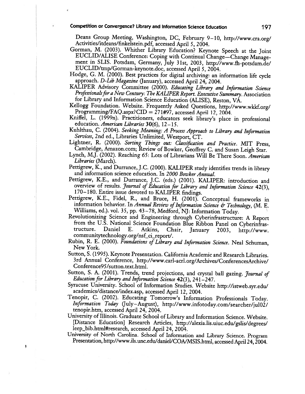Deans Group Meeting, Washington, DC, February 9—10, http://www.cra.org/ Activities/itdeans/finkelstein.pdf, accessed April 5, 2004.

- EUCLID/ALISE Conference: Coping with Continual Change—Change Manage-<br>ment in SLIS. Potsdam, Germany, July 31st, 2003, http://www.fh-potsdam.de/
- 
- EUCLID/tmp/Gorman-keynote.doc, accessed April 5, 2004.<br>Hodge, G. M. (2000). Best practices for digital archiving: an information life cycle<br>approach. *D-Lib Magazine* (January), accessed April 24, 2004.<br>KALIPER Advisory Co

Kellogg Foundation. Website. Frequently Asked Questions, http://www.wkkf.org/ Programming/FAQ.aspx?CID =  $271\#97$ , accessed April 12, 2004.

- Kniffel, L. (1999n). Practitioners, educators seek library's place in professional education. American Libraries 30(6), 12–15.
- Kuhlthau, C. (2004). Seeking Meaning: A Process Approach to Library and Information Services, 2nd ed., Libraries Unlimited, Westport, CT.
- Lightner, R. (2000). Sorting Things out: Classification and Practice. MIT Press, Cambridge, Amazon.com; Review of Bowker, Geoffrey C. and Susan Leigh Star. Lynch, M.J. (2002). Reaching 65: Lots of Librarians Will Be There
- Libraries (March).
- Pettigrew, K., and Durrance, J.C. (2000). KALIPER study identifies trends in library and information science education. In <sup>2000</sup> Bowker Annual.
- Pettigrew, K.E., and Durrance, J.C. (eds.) (2001). KALIPER: introduction and overview of results. *Journal of Education for Library and Information Science* 42(3),
- 170-180. Entire issue devoted to KALIPER findings.<br>Pettigrew, K.E., Fidel, R., and Bruce, H. (2001). Conceptual frameworks in information behavior. In *Annual Review of Information Science & Technology*, (M. E. Williams, ed.). vol. 35, pp. 43–78, Medford, NJ: Information Today.<br>Revolutionizing Science and Engineering through Cyberinfrastructure: A Report
- from the U.S. National Science Foundation Blue Ribbon Panel on Cyberinfrastructure. Daniel E. Atkins, Chair, January 2003, http://www. tructure. Daniel E. Atkins, Chair, January 2003, http://www.<br>communitytechnology.org/nsf\_ci\_report/.
- Rubin, R. E. (2000). Foundations of Library and Information Science. Neal Schuman, New York.
- Sutton, S. (1995). Keynote Presentation. California Academic and Research Libraries. 3rd Annual Conference, http://www.carl-acrl.org/Archives/ConferencesArchive/ Conference95/sutton.text.htinl.
- Sutton, S. A. (2001). Trends, trend projections, and crystal ball gazing. Journal of Education for Library and Information Science 42(3), 241-247.
- Syracuse University. School of Information Studies. Website http://istweb.syr.edu/<br>academics/distance/index.asp, accessed April 12, 2004.<br>Tenopir, C. (2002). Educating Tomorrow's Information Professionals Today.
- Information Today (July–August), http://www.infotoday.com/searcher/jul02/ tenopir.htm, accessed April 24, 2004.
- University ofIllinois. Graduate School of Library and Information Science. Website. [Distance Education] Research Articles, http://alexia.lis.uiuc.edu/gslis/degrees/ leep\_bib.html#research, accessed April 24, 2004.
- University of North Carolina. School of Information and Library Science. Program Presentation, http://www.ils.unc.edu/daniellCOA/MSIS.html, accessed April 24,2004.